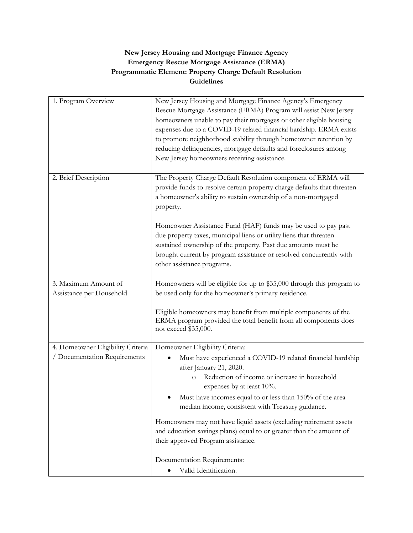## **New Jersey Housing and Mortgage Finance Agency Emergency Rescue Mortgage Assistance (ERMA) Programmatic Element: Property Charge Default Resolution Guidelines**

| 1. Program Overview                              | New Jersey Housing and Mortgage Finance Agency's Emergency<br>Rescue Mortgage Assistance (ERMA) Program will assist New Jersey<br>homeowners unable to pay their mortgages or other eligible housing<br>expenses due to a COVID-19 related financial hardship. ERMA exists<br>to promote neighborhood stability through homeowner retention by<br>reducing delinquencies, mortgage defaults and foreclosures among<br>New Jersey homeowners receiving assistance.                                                                   |
|--------------------------------------------------|-------------------------------------------------------------------------------------------------------------------------------------------------------------------------------------------------------------------------------------------------------------------------------------------------------------------------------------------------------------------------------------------------------------------------------------------------------------------------------------------------------------------------------------|
| 2. Brief Description                             | The Property Charge Default Resolution component of ERMA will<br>provide funds to resolve certain property charge defaults that threaten<br>a homeowner's ability to sustain ownership of a non-mortgaged<br>property.<br>Homeowner Assistance Fund (HAF) funds may be used to pay past<br>due property taxes, municipal liens or utility liens that threaten<br>sustained ownership of the property. Past due amounts must be<br>brought current by program assistance or resolved concurrently with<br>other assistance programs. |
|                                                  |                                                                                                                                                                                                                                                                                                                                                                                                                                                                                                                                     |
| 3. Maximum Amount of<br>Assistance per Household | Homeowners will be eligible for up to \$35,000 through this program to<br>be used only for the homeowner's primary residence.                                                                                                                                                                                                                                                                                                                                                                                                       |
|                                                  | Eligible homeowners may benefit from multiple components of the<br>ERMA program provided the total benefit from all components does<br>not exceed \$35,000.                                                                                                                                                                                                                                                                                                                                                                         |
| 4. Homeowner Eligibility Criteria                | Homeowner Eligibility Criteria:                                                                                                                                                                                                                                                                                                                                                                                                                                                                                                     |
| / Documentation Requirements                     | Must have experienced a COVID-19 related financial hardship<br>after January 21, 2020.<br>Reduction of income or increase in household<br>$\circ$<br>expenses by at least 10%.<br>Must have incomes equal to or less than 150% of the area<br>median income, consistent with Treasury guidance.                                                                                                                                                                                                                                     |
|                                                  | Homeowners may not have liquid assets (excluding retirement assets<br>and education savings plans) equal to or greater than the amount of<br>their approved Program assistance.                                                                                                                                                                                                                                                                                                                                                     |
|                                                  | Documentation Requirements:<br>Valid Identification.                                                                                                                                                                                                                                                                                                                                                                                                                                                                                |